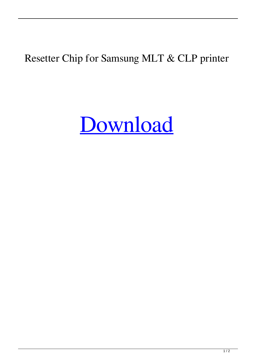## Resetter Chip for Samsung MLT & CLP printer